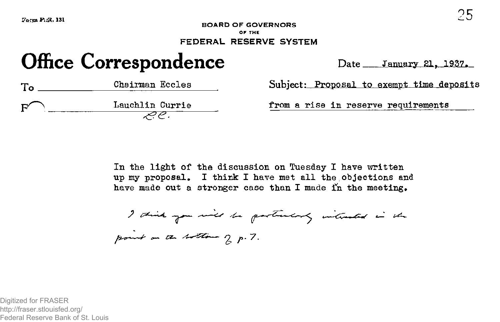## $\Omega$ <sub>o</sub>  $\Omega$  **P**  $\Omega$  **2008**  $\Omega$  **2008**  $\Omega$  **2008**  $\Omega$  **2008**  $\Omega$  **2008**  $\Omega$  **2008**  $\Omega$  **2008**  $\Omega$  **2008**  $\Omega$  **2008**  $\Omega$  **2008**  $\Omega$  **2008**  $\Omega$  **2008**  $\Omega$  **2008**  $\Omega$  **2008**  $\Omega$  **2008**  $\Omega$  **2008**  $\Omega$  **2008 BOARD OF GOVERNORS OF THE FEDERAL RESERVE SYSTEM**

# **Office Correspondence**

Date January 21, 1937.

| To | Chairman Eccles | Subject:  |
|----|-----------------|-----------|
| Γ⁄ | Lauchlin Currie | from a ri |
|    |                 |           |

from a rise in reserve requirements

In the light of the discussion on Tuesday I have written up my proposal. I think I have met all the objections and have made out a stronger case than I made in the meeting.

I think you will be particularly interested in the

point on the bottom of p. 7.

Digitized for FRASER http://fraser.stlouisfed.org/ Federal Reserve Bank of St. Louis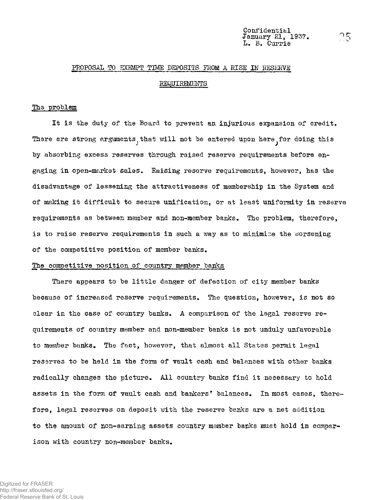## PROPOSAL TO EXEMPT TIME DEPOSITS FROM A RISE IN RESERVE

#### REQUIREMENTS

#### The problem

It is the duty of the Board to prevent an injurious expansion of credit. There are strong arguments, that will not be entered upon here for doing this by absorbing excess reserves through raised reserve requirements before engaging in open-market sales. Raising reserve requirements, however, has the disadvantage of lessening the attractiveness of membership in the System and of making it difficult to secure unification, or at least uniformity in reserve requirements as between member and non-member banks. The problem, therefore, is to raise reserve requirements in such a way as to minimise the worsening of the competitive position of member banks.

#### The competitive position of country member banks

There appears to be little danger of defection of city member banks because of increased reserve requirements. The question, however, is not so clear in the case of country banks. A comparison of the legal reserve requirements of country member and non-member banks is not unduly unfavorable to member banks. The fact, however, that almost all States permit legal reserves to be held in the form of vault cash and balances with other banks radically changes the picture. All country banks find it necessary to hold assets in the form of vault cash and bankers' balances. In most cases, therefore, legal reserves on deposit with the reserve banks are a net addition to the amount of non-earning assets country member banks must hold in comparison with country non-member banks.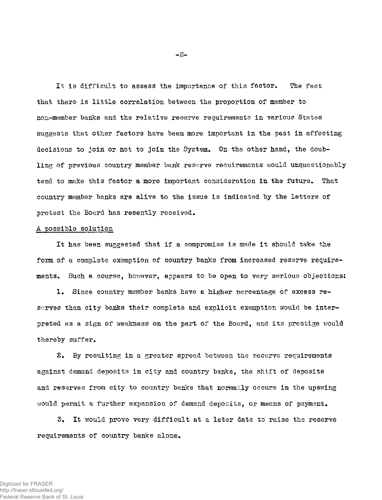It is difficult to assess the importance of this factor. The fact that there is little correlation between the proportion of member to non-member banks and the relative reserve requirements in various States suggests that other factors have been more important in the past in affecting decisions to join or not to join the System. On the other hand, the doubling of previous country member bank reserve requirements would unquestionably tend to make this factor a more important consideration in the future. That country member banks are alive to the issue is indicated by the letters of protest the Board has recently received.

#### A possible solution

It has been suggested that if a compromise is made it should take the form of a complete exemption of country banks from increased reserve requirements. Such a course, however, appears to be open to very serious objections;

1. Since country member banks have a higher percentage of excess reserves than city banks their complete and explicit exemption would be interpreted as a sign of weakness on the part of the Board, and its prestige would thereby suffer.

2. By resulting in a greater spread between the reserve requirements against demand deposits in city and country banks, the shift of deposits and reserves from city to country banks that normally occurs in the upswing would permit a further expansion of demand deposits, or means of payment.

3. It would prove very difficult at a later date to raise the reserve requirements of country banks alone.

**-2-**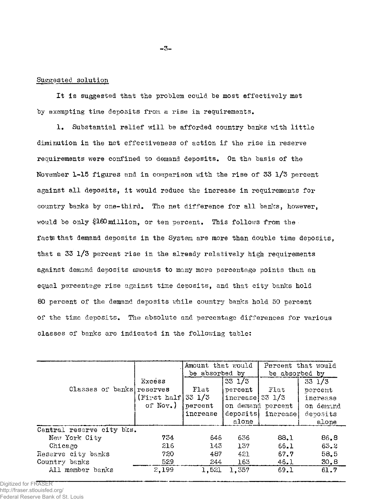# Suggested solution

It is suggested that the problem could be most effectively met by exempting time deposits from a rise in requirements.

1. Substantial relief will be afforded country banks with little diminution in the net effectiveness of action if the rise in reserve requirements were confined to demand deposits. On the basis of the November 1-15 figures and in comparison with the rise of 33 l/3 percent against all deposits, it would reduce the increase in requirements for country banks by one-third. The net difference for all banks, however, would be only §160million, or ten percent. This follows from the facts that demand deposits in the System are more than double time deposits, that a 33 l/3 percent rise in the already relatively high requirements against demand deposits amounts to many more percentage points than an equal percentage rise against time deposits, and that city banks hold 80 percent of the demand deposits while country banks hold 50 percent of the time deposits. The absolute and percentage differences for various classes of banks are indicated in the following table:

|                           |                     | Amount that would |                           |                   | Percent that would |  |  |  |
|---------------------------|---------------------|-------------------|---------------------------|-------------------|--------------------|--|--|--|
|                           |                     | be absorbed by    |                           | be absorbed by    |                    |  |  |  |
|                           | Excess              |                   | 33 1/3                    |                   | $33 \frac{1}{3}$   |  |  |  |
| Classes of banks reserves |                     | Flat              | percent                   | Flat              | percent            |  |  |  |
|                           | (Tirst half 33 1/3) |                   | increase $33 \frac{1}{3}$ |                   | increase           |  |  |  |
|                           | of $\text{Nov.}$ )  | percent           |                           | on demand percent | on demand          |  |  |  |
|                           |                     | increase          | deposits                  | increase          | deposits           |  |  |  |
|                           |                     |                   | alone                     |                   | alone              |  |  |  |
| Central reserve city bks. |                     |                   |                           |                   |                    |  |  |  |
| New York City             | 734                 | 646               | 636                       | 88.1              | 86.8               |  |  |  |
| Chicago                   | 216                 | 143               | 157                       | 66.1              | 63.2               |  |  |  |
| Reserve city banks        | 720                 | 487               | 421                       | 67.7              | 58.5               |  |  |  |
| Country banks             | 529                 | 244               | 163                       | 46.1              | 30, 8              |  |  |  |
| All member banks          | 2,199               | 1,521             | 1,357                     | 69.1              | 61.7               |  |  |  |

Digitized for FRASER http://fraser.stlouisfed.org/ Federal Reserve Bank of St. Louis **-3-**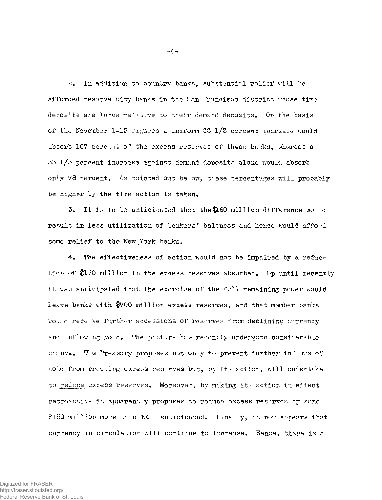2. In addition to country banks, substantial relief will be afforded reserve city banks in the San Francisco district whose time deposits are large relative to their demand deposits. On the basis of the November 1-15 figures a uniform 33 l/3 percent increase would absorb 107 percent of the excess reserves of these banks, whereas a 33 1/3 percent increase against demand deposits alone would absorb only 78 percent. As pointed out below, these percentages will probably be higher by the time action is taken,

 $5.$  It is to be anticipated that the  $2.60$  million difference would result in less utilization of bankers\* balances and hence would afford some relief to the New York banks.

4. The effectiveness of action would not be impaired by a reduction of \$160 million in the excess reserves absorbed. Up until recently it was anticipated that the exercise of the full remaining power would leave banks with \$700 million excess reserves, and that member banks would receive further accessions of reserves from declining currency and inflowing gold. The picture has recently undergone considerable change. The Treasury proposes not only to prevent further inflows of gold from creating excess reserves but, by its action, will undertake to reduce excess reserves. Moreover, by making its action in effect retroactive it apparently proposes to reduce excess reserves by some \$150 million more than we anticipated. Finally, it now appears that currency in circulation will continue to increase. Hence, there is a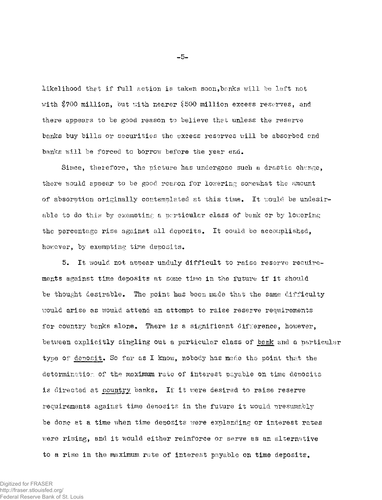likelihood that if full action is taken soon,banks will he left not with \$700 million, but with nearer \$500 million excess reserves, and there appears to be good reason to believe that unless the reserve banks buy bills or securities the excess reserves will be absorbed and banks will be forced to borrow before the year end.

Since, therefore, the picture has undergone such a drastic change, there would appear to be good reason for lowering somewhat the amount of absorption originally contemplated at this time. It would be undesirable to do this by exempting a particular class of bank or by lowering the percentage rise against all deposits. It could be accomplished, however, by exempting tine deposits.

5. It would not appear unduly difficult to raise reserve requirements against time deposits at some time in the future if it should be thought desirable. The point has been made that the same difficulty would arise as would attend an attempt to raise reserve requirements for country banks alone. There is a significant difference, however, between explicitly singling out a particular class of bank and a particular type of deposit. So far as I know, nobody has made the point that the determination of the maximum rate of interest payable on time deposits is directed at country banks. If it were desired to raise reserve requirements against time deposits in the future it would presumably be done at a time when time deposits were explanding or interest rates were rising, and it would either reinforce or serve as an alternative to a rise in the maximum rate of interest payable on time deposits.

**-5-**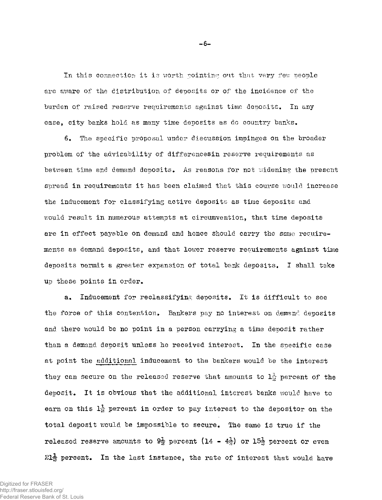In this connection it is worth pointing out that very few people are aware of the distribution of deposits or of the incidence of the burden of raised reserve requirements against time deposits. In any case, city banks hold as many time deposits as do country banks.

6. The specific proposal under discussion impinges on the broader problem of the advisability of differencesin reserve requirements as between time and demand deposits. As reasons for not widening the present spread in requirements it has been claimed that this course would increase the inducement for classifying active deposits as time deposits and would result in numerous attempts at circumvention, that time deposits are in effect payable on demand and hence should carry the same requirements as demand deposits, and that lower reserve requirements against time deposits permit a greater expansion of total bank deposits. I shall take up these points in order.

a. Inducement for reclassifying deposits. It is difficult to see the force of this contention. Bankers pay no interest on demand deposits and there would be no point in a person carrying a time deposit rather than a demand deposit unless he received interest. In the specific case at point the additional inducement to the bankers would be the interest they can secure on the released reserve that amounts to  $1\frac{1}{9}$  percent of the deposit. It is obvious that the additional interest banks would have to earn on this  $1\frac{1}{2}$  percent in order to pay interest to the depositor on the total deposit would be impossible to secure. The same is true if the released reserve amounts to  $9\frac{1}{2}$  percent  $(14 - 4\frac{1}{2})$  or  $15\frac{1}{2}$  percent or even  $21\frac{1}{2}$  percent. In the last instance, the rate of interest that would have

**-6-**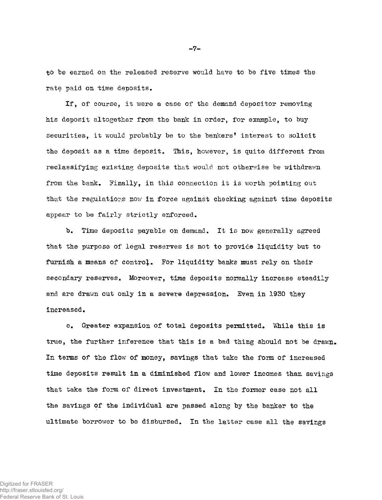to be earned on the released reserve would have to be five times the rate paid on time deposits.

If, of course, it were a case of the demand depositor removing his deposit altogether from the bank in order, for example, to buy securities, it would probably be to the bankers' interest to solicit the deposit as a time deposit. This, however, is quite different from reclassifying existing deposits that would not otherwise be withdrawn from the bank. Finally, in this connection it is worth pointing out that the regulations now in force against checking against time deposits appear to be fairly strictly enforced.

b. Time deposits payable on demand. It is now generally agreed that the purpose of legal reserves is not to provide liquidity but to furnish a means of contro}. For liquidity banks must rely on their secondary reserves. Moreover, time deposits normally increase steadily and are drawn out only in a severe depression. Even in 1930 they increased.

c. Greater expansion of total deposits permitted. While this is true, the further inference that this is a bad thing should not be drawn. In terms of the flow of money, savings that take the form of increased time deposits result in a diminished flow and lower incomes than savings that take the form of direct investment. In the former ease not all the savings of the individual are passed along by the banker to the ultimate borrower to be disbursed. In the latter case all the savings

**-7-**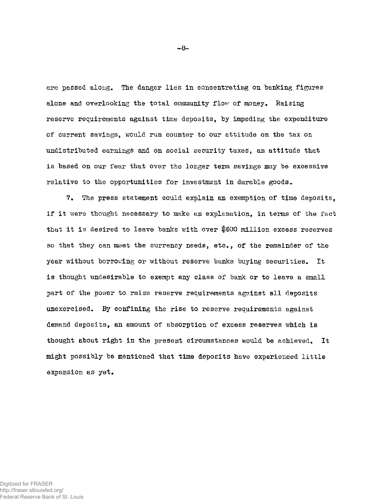are passed along. The danger lies in concentrating on banking figures alone and overlooking the total community flow of money. Raising reserve requirements against time deposits, by impeding the expenditure of current savings, would run counter to our attitude on the tax on undistributed earnings and on social security taxes, an attitude that is based on our fear that over the longer term savings may be excessive relative to the opportunities for investment in durable goods,.

7. The press statement could explain an exemption of time deposits, if it were thought necessary to make an explanation, in terms of the fact that it is desired to leave banks with over \$600 million excess reserves so that they can meet the currency needs, etc., of the remainder of the year without borrowing or without reserve banks buying securities. It is thought undesirable to exempt any class of bank or to leave a small part of the power to raise reserve requirements against all deposits unexercised. By confining the rise to reserve requirements against demand deposits, an amount of absorption of excess reserves which is thought about right in the present circumstances would be achieved. It might possibly be mentioned that time deposits have experienced little expansion as yet.

**-8-**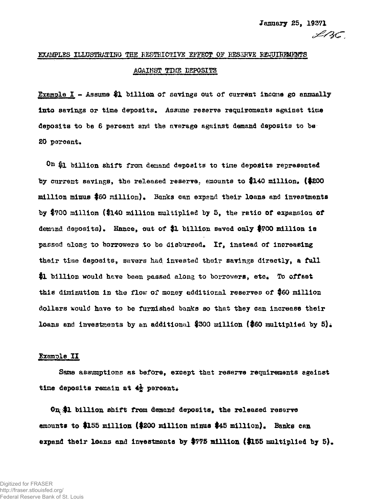# **EXAMPLES ILLUSTRATING THE RESTRICTIVE EFFECT OF RESERVE REQUIREMENTS** AGAINST TIME DEPOSITS

**Example I ~ Assume #1 billion of savings out of current income go axmaally into savings or time deposits\*** Assume **reserve requirements against time deposits to b© 6 percent and the average against demand deposits to be**  20 percent.

**On #x billion shift from demand deposit® to time deposits represented by current savings, the released reserve, emounts to fl4Q million\* (#g00 million minus \$60 million)\* Banks can** *expntid* **tbeir loans and investments by |700 million {#3,40 million multiplied by 5, the ratio of expansion of**  demand deposits). Hance, out of \$1 billion saved only \$700 million is passod along to borrowers to be disbursed. If, instead of increasing **their time deposits, savers had invested their savings directly, a full**  \$1 billion would have been passed along to borrowers, etc. To offset **this diminution in the flow of money additional reserves of #60 million dollars would have to be furnished banks so that they ean increase their loans and investments by an additional \$300 million (\$60 multiplied by 5).** 

# **Example II**

**Sane assumptions as before, except that reserve requirements against**  time deposits remain at  $4\frac{1}{2}$  percent.

On<sub>(</sub>\$1 billion shift from demand deposits, the released reserve **amounts to #155 million (#200 million minus #45 million}\* Banks can**  expand their loans and investments by \$775 million (\$155 multiplied by 5).